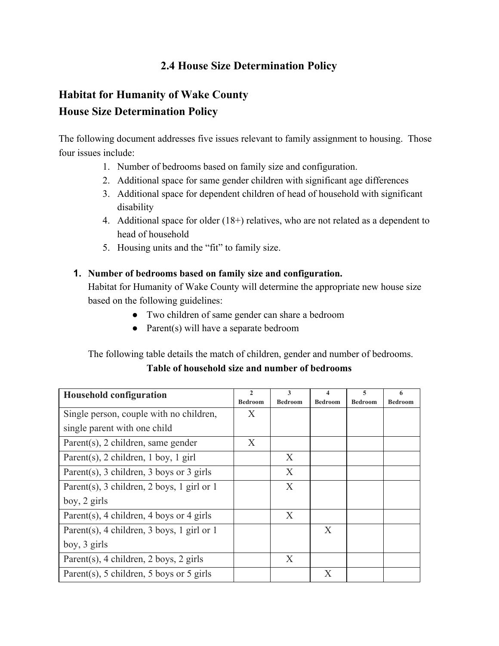## **2.4 House Size Determination Policy**

# **Habitat for Humanity of Wake County House Size Determination Policy**

The following document addresses five issues relevant to family assignment to housing. Those four issues include:

- 1. Number of bedrooms based on family size and configuration.
- 2. Additional space for same gender children with significant age differences
- 3. Additional space for dependent children of head of household with significant disability
- 4. Additional space for older (18+) relatives, who are not related as a dependent to head of household
- 5. Housing units and the "fit" to family size.

#### **1. Number of bedrooms based on family size and configuration.**

Habitat for Humanity of Wake County will determine the appropriate new house size based on the following guidelines:

- Two children of same gender can share a bedroom
- Parent(s) will have a separate bedroom

#### The following table details the match of children, gender and number of bedrooms.

#### **Table of household size and number of bedrooms**

| <b>Household configuration</b>             | $\mathcal{L}$  | 3              | $\overline{\mathbf{4}}$ | 5              | 6              |
|--------------------------------------------|----------------|----------------|-------------------------|----------------|----------------|
|                                            | <b>Bedroom</b> | <b>Bedroom</b> | <b>Bedroom</b>          | <b>Bedroom</b> | <b>Bedroom</b> |
| Single person, couple with no children,    | X              |                |                         |                |                |
| single parent with one child               |                |                |                         |                |                |
| Parent $(s)$ , 2 children, same gender     | X              |                |                         |                |                |
| Parent(s), 2 children, 1 boy, 1 girl       |                | X              |                         |                |                |
| Parent(s), 3 children, 3 boys or 3 girls   |                | X              |                         |                |                |
| Parent(s), 3 children, 2 boys, 1 girl or 1 |                | X              |                         |                |                |
| boy, 2 girls                               |                |                |                         |                |                |
| Parent(s), 4 children, 4 boys or 4 girls   |                | X              |                         |                |                |
| Parent(s), 4 children, 3 boys, 1 girl or 1 |                |                | X                       |                |                |
| boy, 3 girls                               |                |                |                         |                |                |
| Parent(s), 4 children, 2 boys, 2 girls     |                | X              |                         |                |                |
| Parent(s), 5 children, 5 boys or 5 girls   |                |                | X                       |                |                |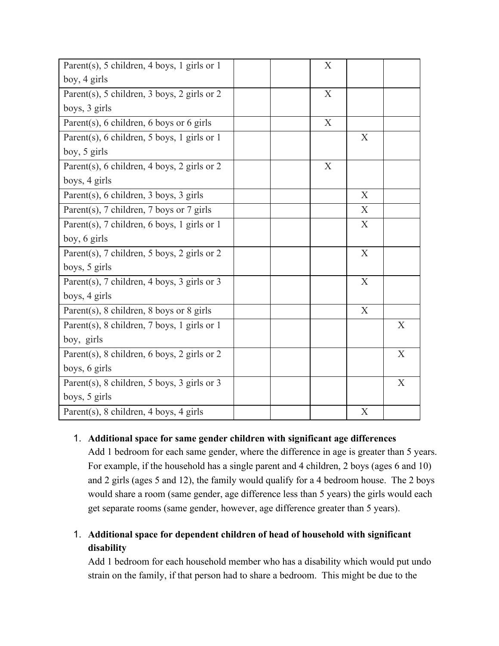| Parent(s), 5 children, 4 boys, 1 girls or 1 | X                |   |   |
|---------------------------------------------|------------------|---|---|
| boy, 4 girls                                |                  |   |   |
| Parent(s), 5 children, 3 boys, 2 girls or 2 | X                |   |   |
| boys, 3 girls                               |                  |   |   |
| Parent(s), 6 children, 6 boys or 6 girls    | $\boldsymbol{X}$ |   |   |
| Parent(s), 6 children, 5 boys, 1 girls or 1 |                  | X |   |
| boy, 5 girls                                |                  |   |   |
| Parent(s), 6 children, 4 boys, 2 girls or 2 | X                |   |   |
| boys, 4 girls                               |                  |   |   |
| Parent(s), 6 children, 3 boys, 3 girls      |                  | X |   |
| Parent(s), 7 children, 7 boys or 7 girls    |                  | X |   |
| Parent(s), 7 children, 6 boys, 1 girls or 1 |                  | X |   |
| boy, 6 girls                                |                  |   |   |
| Parent(s), 7 children, 5 boys, 2 girls or 2 |                  | X |   |
| boys, 5 girls                               |                  |   |   |
| Parent(s), 7 children, 4 boys, 3 girls or 3 |                  | X |   |
| boys, 4 girls                               |                  |   |   |
| Parent(s), 8 children, 8 boys or 8 girls    |                  | X |   |
| Parent(s), 8 children, 7 boys, 1 girls or 1 |                  |   | X |
| boy, girls                                  |                  |   |   |
| Parent(s), 8 children, 6 boys, 2 girls or 2 |                  |   | X |
| boys, 6 girls                               |                  |   |   |
| Parent(s), 8 children, 5 boys, 3 girls or 3 |                  |   | X |
| boys, 5 girls                               |                  |   |   |
| Parent(s), 8 children, 4 boys, 4 girls      |                  | X |   |

#### 1. **Additional space for same gender children with significant age differences**

Add 1 bedroom for each same gender, where the difference in age is greater than 5 years. For example, if the household has a single parent and 4 children, 2 boys (ages 6 and 10) and 2 girls (ages 5 and 12), the family would qualify for a 4 bedroom house. The 2 boys would share a room (same gender, age difference less than 5 years) the girls would each get separate rooms (same gender, however, age difference greater than 5 years).

## 1. **Additional space for dependent children of head of household with significant disability**

Add 1 bedroom for each household member who has a disability which would put undo strain on the family, if that person had to share a bedroom. This might be due to the